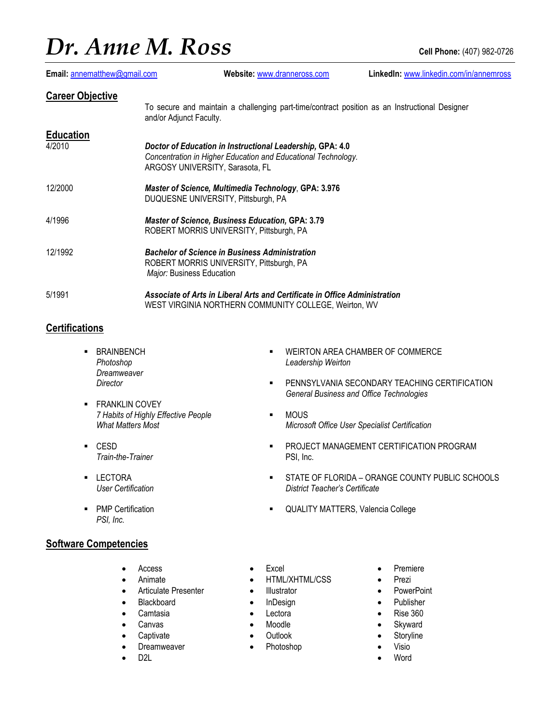# *Dr. Anne M. Ross* **Cell Phone:** (407) 982-0726

| Email: annematthew@gmail.com | Website: www.dranneross.com                                                                                                                                   | LinkedIn: www.linkedin.com/in/annemross |
|------------------------------|---------------------------------------------------------------------------------------------------------------------------------------------------------------|-----------------------------------------|
| <b>Career Objective</b>      | To secure and maintain a challenging part-time/contract position as an Instructional Designer<br>and/or Adjunct Faculty.                                      |                                         |
| <b>Education</b>             |                                                                                                                                                               |                                         |
| 4/2010                       | Doctor of Education in Instructional Leadership, GPA: 4.0<br>Concentration in Higher Education and Educational Technology.<br>ARGOSY UNIVERSITY, Sarasota, FL |                                         |
| 12/2000                      | <b>Master of Science, Multimedia Technology, GPA: 3.976</b><br>DUQUESNE UNIVERSITY, Pittsburgh, PA                                                            |                                         |
| 4/1996                       | <b>Master of Science, Business Education, GPA: 3.79</b><br>ROBERT MORRIS UNIVERSITY, Pittsburgh, PA                                                           |                                         |
| 12/1992                      | <b>Bachelor of Science in Business Administration</b><br>ROBERT MORRIS UNIVERSITY, Pittsburgh, PA<br><i>Major:</i> Business Education                         |                                         |
| 5/1991                       | Associate of Arts in Liberal Arts and Certificate in Office Administration<br>WEST VIRGINIA NORTHERN COMMUNITY COLLEGE, Weirton, WV                           |                                         |

### **Certifications**

- **BRAINBENCH** *Photoshop Dreamweaver Director*
- **FRANKLIN COVEY** *7 Habits of Highly Effective People What Matters Most*
- CESD *Train-the-Trainer*
- LECTORA *User Certification*
- PMP Certification *PSI, Inc.*

### **Software Competencies**

- Access
- Animate
- Articulate Presenter
- **Blackboard**
- **Camtasia**
- **Canvas**
- **Captivate**
- **Dreamweaver**
- D2L
- **WEIRTON AREA CHAMBER OF COMMERCE** *Leadership Weirton*
- **PENNSYLVANIA SECONDARY TEACHING CERTIFICATION** *General Business and Office Technologies*
- MOUS *Microsoft Office User Specialist Certification*
- PROJECT MANAGEMENT CERTIFICATION PROGRAM PSI, Inc.
- STATE OF FLORIDA ORANGE COUNTY PUBLIC SCHOOLS *District Teacher's Certificate*
- QUALITY MATTERS, Valencia College
- Excel
- HTML/XHTML/CSS
- Illustrator
- InDesign
- Lectora
- Moodle
- Outlook
- Photoshop
- Premiere
- Prezi
- PowerPoint
- Publisher
- Rise 360
- Skyward
- Storyline
- Visio
- **Word**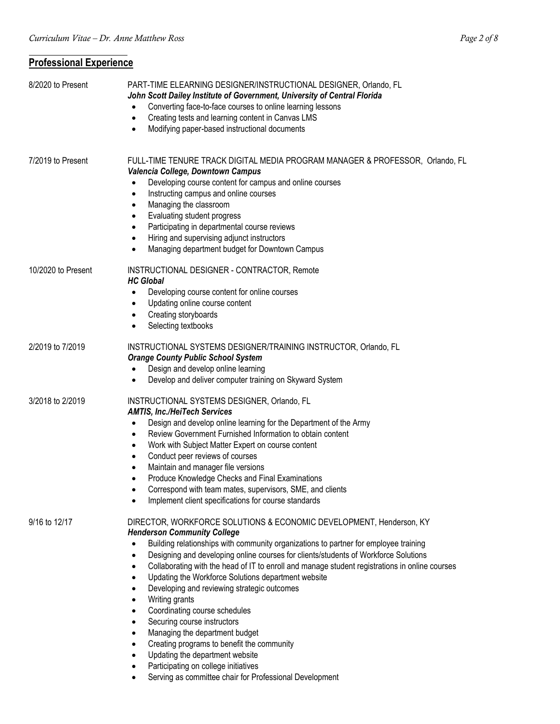## **Professional Experience**

| 8/2020 to Present  | PART-TIME ELEARNING DESIGNER/INSTRUCTIONAL DESIGNER, Orlando, FL<br>John Scott Dailey Institute of Government, University of Central Florida<br>Converting face-to-face courses to online learning lessons<br>Creating tests and learning content in Canvas LMS<br>$\bullet$<br>Modifying paper-based instructional documents                                                                                                                                                                                                                                                                                                                                                                                                                                                                                                      |
|--------------------|------------------------------------------------------------------------------------------------------------------------------------------------------------------------------------------------------------------------------------------------------------------------------------------------------------------------------------------------------------------------------------------------------------------------------------------------------------------------------------------------------------------------------------------------------------------------------------------------------------------------------------------------------------------------------------------------------------------------------------------------------------------------------------------------------------------------------------|
| 7/2019 to Present  | FULL-TIME TENURE TRACK DIGITAL MEDIA PROGRAM MANAGER & PROFESSOR, Orlando, FL<br>Valencia College, Downtown Campus<br>Developing course content for campus and online courses<br>Instructing campus and online courses<br>٠<br>Managing the classroom<br>٠<br>Evaluating student progress<br>Participating in departmental course reviews<br>Hiring and supervising adjunct instructors<br>Managing department budget for Downtown Campus                                                                                                                                                                                                                                                                                                                                                                                          |
| 10/2020 to Present | INSTRUCTIONAL DESIGNER - CONTRACTOR, Remote<br><b>HC Global</b><br>Developing course content for online courses<br>Updating online course content<br>Creating storyboards<br>Selecting textbooks                                                                                                                                                                                                                                                                                                                                                                                                                                                                                                                                                                                                                                   |
| 2/2019 to 7/2019   | INSTRUCTIONAL SYSTEMS DESIGNER/TRAINING INSTRUCTOR, Orlando, FL<br><b>Orange County Public School System</b><br>Design and develop online learning<br>Develop and deliver computer training on Skyward System<br>٠                                                                                                                                                                                                                                                                                                                                                                                                                                                                                                                                                                                                                 |
| 3/2018 to 2/2019   | INSTRUCTIONAL SYSTEMS DESIGNER, Orlando, FL<br><b>AMTIS, Inc./HeiTech Services</b><br>Design and develop online learning for the Department of the Army<br>Review Government Furnished Information to obtain content<br>Work with Subject Matter Expert on course content<br>Conduct peer reviews of courses<br>Maintain and manager file versions<br>Produce Knowledge Checks and Final Examinations<br>Correspond with team mates, supervisors, SME, and clients<br>Implement client specifications for course standards                                                                                                                                                                                                                                                                                                         |
| 9/16 to 12/17      | DIRECTOR, WORKFORCE SOLUTIONS & ECONOMIC DEVELOPMENT, Henderson, KY<br><b>Henderson Community College</b><br>Building relationships with community organizations to partner for employee training<br>Designing and developing online courses for clients/students of Workforce Solutions<br>Collaborating with the head of IT to enroll and manage student registrations in online courses<br>Updating the Workforce Solutions department website<br>Developing and reviewing strategic outcomes<br>Writing grants<br>$\bullet$<br>Coordinating course schedules<br>$\bullet$<br>Securing course instructors<br>Managing the department budget<br>Creating programs to benefit the community<br>Updating the department website<br>Participating on college initiatives<br>Serving as committee chair for Professional Development |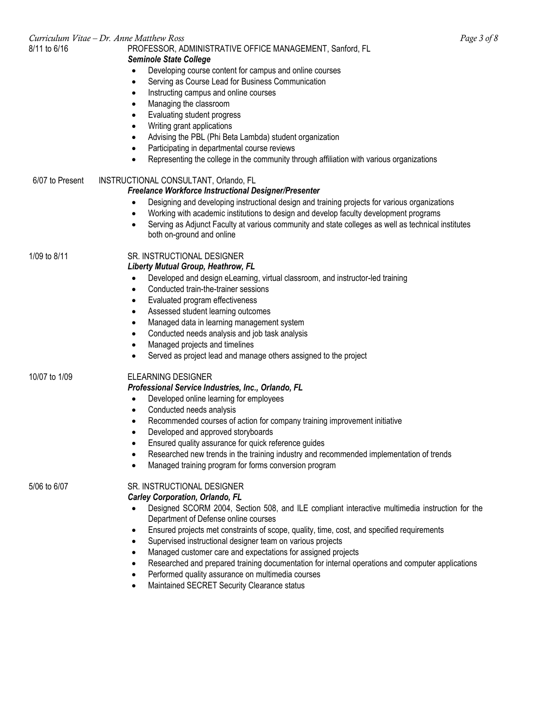|                 | Curriculum Vitae - Dr. Anne Matthew Ross                                                                      | Page 3 of 8 |
|-----------------|---------------------------------------------------------------------------------------------------------------|-------------|
| 8/11 to 6/16    | PROFESSOR, ADMINISTRATIVE OFFICE MANAGEMENT, Sanford, FL                                                      |             |
|                 | <b>Seminole State College</b>                                                                                 |             |
|                 | Developing course content for campus and online courses                                                       |             |
|                 | Serving as Course Lead for Business Communication<br>$\bullet$                                                |             |
|                 | Instructing campus and online courses                                                                         |             |
|                 | Managing the classroom                                                                                        |             |
|                 | Evaluating student progress<br>٠                                                                              |             |
|                 | Writing grant applications<br>٠                                                                               |             |
|                 | Advising the PBL (Phi Beta Lambda) student organization<br>$\bullet$                                          |             |
|                 | Participating in departmental course reviews<br>$\bullet$                                                     |             |
|                 | Representing the college in the community through affiliation with various organizations                      |             |
|                 |                                                                                                               |             |
| 6/07 to Present | INSTRUCTIONAL CONSULTANT, Orlando, FL                                                                         |             |
|                 | Freelance Workforce Instructional Designer/Presenter                                                          |             |
|                 | Designing and developing instructional design and training projects for various organizations                 |             |
|                 | Working with academic institutions to design and develop faculty development programs                         |             |
|                 | Serving as Adjunct Faculty at various community and state colleges as well as technical institutes            |             |
|                 | both on-ground and online                                                                                     |             |
|                 |                                                                                                               |             |
| 1/09 to 8/11    | SR. INSTRUCTIONAL DESIGNER                                                                                    |             |
|                 | Liberty Mutual Group, Heathrow, FL                                                                            |             |
|                 | Developed and design eLearning, virtual classroom, and instructor-led training<br>$\bullet$                   |             |
|                 | Conducted train-the-trainer sessions<br>$\bullet$                                                             |             |
|                 | Evaluated program effectiveness<br>٠                                                                          |             |
|                 | Assessed student learning outcomes<br>٠                                                                       |             |
|                 | Managed data in learning management system<br>٠                                                               |             |
|                 | Conducted needs analysis and job task analysis<br>$\bullet$                                                   |             |
|                 | Managed projects and timelines<br>$\bullet$                                                                   |             |
|                 | Served as project lead and manage others assigned to the project<br>$\bullet$                                 |             |
|                 |                                                                                                               |             |
| 10/07 to 1/09   | <b>ELEARNING DESIGNER</b>                                                                                     |             |
|                 | Professional Service Industries, Inc., Orlando, FL                                                            |             |
|                 | Developed online learning for employees<br>$\bullet$                                                          |             |
|                 | Conducted needs analysis<br>$\bullet$                                                                         |             |
|                 | Recommended courses of action for company training improvement initiative<br>$\bullet$                        |             |
|                 | Developed and approved storyboards                                                                            |             |
|                 | Ensured quality assurance for quick reference guides                                                          |             |
|                 | Researched new trends in the training industry and recommended implementation of trends<br>0                  |             |
|                 | Managed training program for forms conversion program<br>$\bullet$                                            |             |
| 5/06 to 6/07    | SR. INSTRUCTIONAL DESIGNER                                                                                    |             |
|                 | Carley Corporation, Orlando, FL                                                                               |             |
|                 | Designed SCORM 2004, Section 508, and ILE compliant interactive multimedia instruction for the<br>$\bullet$   |             |
|                 | Department of Defense online courses                                                                          |             |
|                 | Ensured projects met constraints of scope, quality, time, cost, and specified requirements                    |             |
|                 | ٠                                                                                                             |             |
|                 | Supervised instructional designer team on various projects<br>$\bullet$                                       |             |
|                 | Managed customer care and expectations for assigned projects<br>$\bullet$                                     |             |
|                 | Researched and prepared training documentation for internal operations and computer applications<br>$\bullet$ |             |
|                 | Performed quality assurance on multimedia courses<br>$\bullet$                                                |             |
|                 | Maintained SECRET Security Clearance status<br>٠                                                              |             |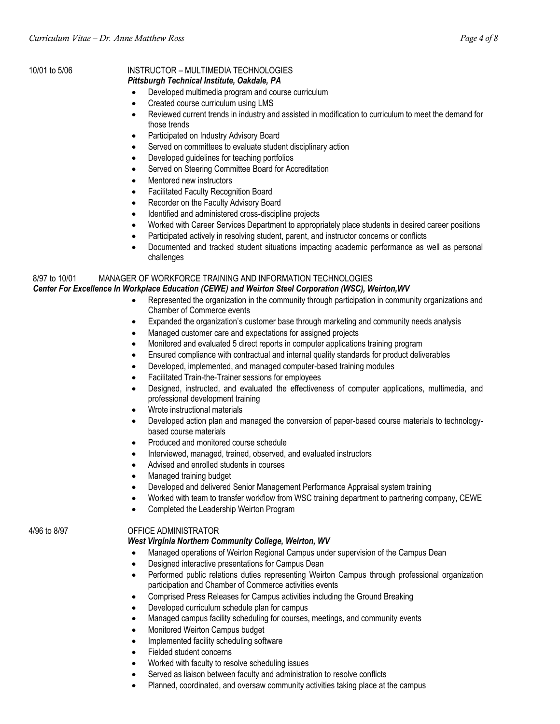### 10/01 to 5/06 INSTRUCTOR – MULTIMEDIA TECHNOLOGIES

#### *Pittsburgh Technical Institute, Oakdale, PA*

- Developed multimedia program and course curriculum
- Created course curriculum using LMS
- Reviewed current trends in industry and assisted in modification to curriculum to meet the demand for those trends
- Participated on Industry Advisory Board
- Served on committees to evaluate student disciplinary action
- Developed guidelines for teaching portfolios
- Served on Steering Committee Board for Accreditation
- Mentored new instructors
- Facilitated Faculty Recognition Board
- Recorder on the Faculty Advisory Board
- Identified and administered cross-discipline projects
- Worked with Career Services Department to appropriately place students in desired career positions
- Participated actively in resolving student, parent, and instructor concerns or conflicts
- Documented and tracked student situations impacting academic performance as well as personal challenges

### 8/97 to 10/01 MANAGER OF WORKFORCE TRAINING AND INFORMATION TECHNOLOGIES

### *Center For Excellence In Workplace Education (CEWE) and Weirton Steel Corporation (WSC), Weirton,WV*

- Represented the organization in the community through participation in community organizations and Chamber of Commerce events
- Expanded the organization's customer base through marketing and community needs analysis
- Managed customer care and expectations for assigned projects
- Monitored and evaluated 5 direct reports in computer applications training program
- Ensured compliance with contractual and internal quality standards for product deliverables
- Developed, implemented, and managed computer-based training modules
- Facilitated Train-the-Trainer sessions for employees
- Designed, instructed, and evaluated the effectiveness of computer applications, multimedia, and professional development training
- Wrote instructional materials
- Developed action plan and managed the conversion of paper-based course materials to technologybased course materials
- Produced and monitored course schedule
- Interviewed, managed, trained, observed, and evaluated instructors
- Advised and enrolled students in courses
- Managed training budget
- Developed and delivered Senior Management Performance Appraisal system training
- Worked with team to transfer workflow from WSC training department to partnering company, CEWE
- Completed the Leadership Weirton Program

### 4/96 to 8/97 OFFICE ADMINISTRATOR

### *West Virginia Northern Community College, Weirton, WV*

- Managed operations of Weirton Regional Campus under supervision of the Campus Dean
- Designed interactive presentations for Campus Dean
- Performed public relations duties representing Weirton Campus through professional organization participation and Chamber of Commerce activities events
- Comprised Press Releases for Campus activities including the Ground Breaking
- Developed curriculum schedule plan for campus
- Managed campus facility scheduling for courses, meetings, and community events
- Monitored Weirton Campus budget
- Implemented facility scheduling software
- Fielded student concerns
- Worked with faculty to resolve scheduling issues
- Served as liaison between faculty and administration to resolve conflicts
- Planned, coordinated, and oversaw community activities taking place at the campus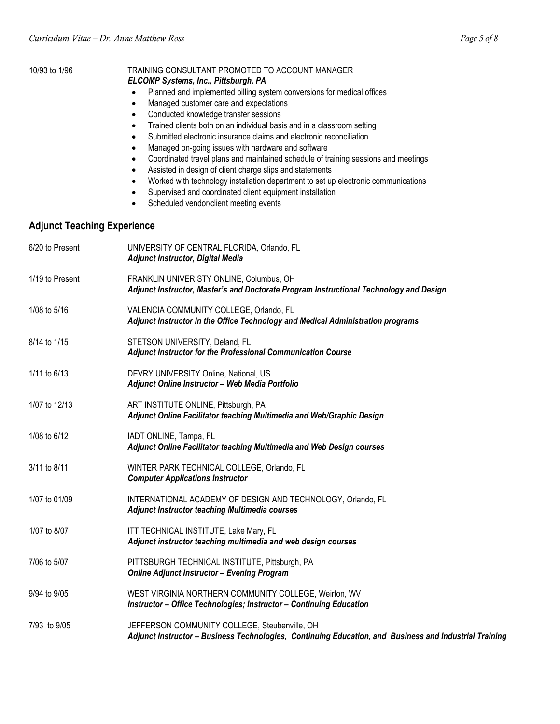| 10/93 to 1/96                      | TRAINING CONSULTANT PROMOTED TO ACCOUNT MANAGER<br>ELCOMP Systems, Inc., Pittsburgh, PA<br>Planned and implemented billing system conversions for medical offices<br>Managed customer care and expectations<br>$\bullet$<br>Conducted knowledge transfer sessions<br>$\bullet$<br>Trained clients both on an individual basis and in a classroom setting<br>$\bullet$<br>Submitted electronic insurance claims and electronic reconciliation<br>٠<br>Managed on-going issues with hardware and software<br>$\bullet$<br>Coordinated travel plans and maintained schedule of training sessions and meetings<br>$\bullet$<br>Assisted in design of client charge slips and statements<br>$\bullet$<br>Worked with technology installation department to set up electronic communications<br>$\bullet$<br>Supervised and coordinated client equipment installation<br>$\bullet$<br>Scheduled vendor/client meeting events<br>$\bullet$ |  |
|------------------------------------|-------------------------------------------------------------------------------------------------------------------------------------------------------------------------------------------------------------------------------------------------------------------------------------------------------------------------------------------------------------------------------------------------------------------------------------------------------------------------------------------------------------------------------------------------------------------------------------------------------------------------------------------------------------------------------------------------------------------------------------------------------------------------------------------------------------------------------------------------------------------------------------------------------------------------------------|--|
| <b>Adjunct Teaching Experience</b> |                                                                                                                                                                                                                                                                                                                                                                                                                                                                                                                                                                                                                                                                                                                                                                                                                                                                                                                                     |  |
| 6/20 to Present                    | UNIVERSITY OF CENTRAL FLORIDA, Orlando, FL<br><b>Adjunct Instructor, Digital Media</b>                                                                                                                                                                                                                                                                                                                                                                                                                                                                                                                                                                                                                                                                                                                                                                                                                                              |  |
| 1/19 to Present                    | FRANKLIN UNIVERISTY ONLINE, Columbus, OH<br>Adjunct Instructor, Master's and Doctorate Program Instructional Technology and Design                                                                                                                                                                                                                                                                                                                                                                                                                                                                                                                                                                                                                                                                                                                                                                                                  |  |
| 1/08 to 5/16                       | VALENCIA COMMUNITY COLLEGE, Orlando, FL<br>Adjunct Instructor in the Office Technology and Medical Administration programs                                                                                                                                                                                                                                                                                                                                                                                                                                                                                                                                                                                                                                                                                                                                                                                                          |  |
| 8/14 to 1/15                       | STETSON UNIVERSITY, Deland, FL<br>Adjunct Instructor for the Professional Communication Course                                                                                                                                                                                                                                                                                                                                                                                                                                                                                                                                                                                                                                                                                                                                                                                                                                      |  |
| 1/11 to 6/13                       | DEVRY UNIVERSITY Online, National, US<br>Adjunct Online Instructor - Web Media Portfolio                                                                                                                                                                                                                                                                                                                                                                                                                                                                                                                                                                                                                                                                                                                                                                                                                                            |  |
| 1/07 to 12/13                      | ART INSTITUTE ONLINE, Pittsburgh, PA<br>Adjunct Online Facilitator teaching Multimedia and Web/Graphic Design                                                                                                                                                                                                                                                                                                                                                                                                                                                                                                                                                                                                                                                                                                                                                                                                                       |  |
| 1/08 to 6/12                       | IADT ONLINE, Tampa, FL<br>Adjunct Online Facilitator teaching Multimedia and Web Design courses                                                                                                                                                                                                                                                                                                                                                                                                                                                                                                                                                                                                                                                                                                                                                                                                                                     |  |
| 3/11 to 8/11                       | WINTER PARK TECHNICAL COLLEGE, Orlando, FL<br><b>Computer Applications Instructor</b>                                                                                                                                                                                                                                                                                                                                                                                                                                                                                                                                                                                                                                                                                                                                                                                                                                               |  |
| 1/07 to 01/09                      | INTERNATIONAL ACADEMY OF DESIGN AND TECHNOLOGY, Orlando, FL<br><b>Adjunct Instructor teaching Multimedia courses</b>                                                                                                                                                                                                                                                                                                                                                                                                                                                                                                                                                                                                                                                                                                                                                                                                                |  |
| 1/07 to 8/07                       | ITT TECHNICAL INSTITUTE, Lake Mary, FL<br>Adjunct instructor teaching multimedia and web design courses                                                                                                                                                                                                                                                                                                                                                                                                                                                                                                                                                                                                                                                                                                                                                                                                                             |  |
| 7/06 to 5/07                       | PITTSBURGH TECHNICAL INSTITUTE, Pittsburgh, PA<br><b>Online Adjunct Instructor - Evening Program</b>                                                                                                                                                                                                                                                                                                                                                                                                                                                                                                                                                                                                                                                                                                                                                                                                                                |  |
| 9/94 to 9/05                       | WEST VIRGINIA NORTHERN COMMUNITY COLLEGE, Weirton, WV<br>Instructor - Office Technologies; Instructor - Continuing Education                                                                                                                                                                                                                                                                                                                                                                                                                                                                                                                                                                                                                                                                                                                                                                                                        |  |
| 7/93 to 9/05                       | JEFFERSON COMMUNITY COLLEGE, Steubenville, OH<br>Adjunct Instructor - Business Technologies, Continuing Education, and Business and Industrial Training                                                                                                                                                                                                                                                                                                                                                                                                                                                                                                                                                                                                                                                                                                                                                                             |  |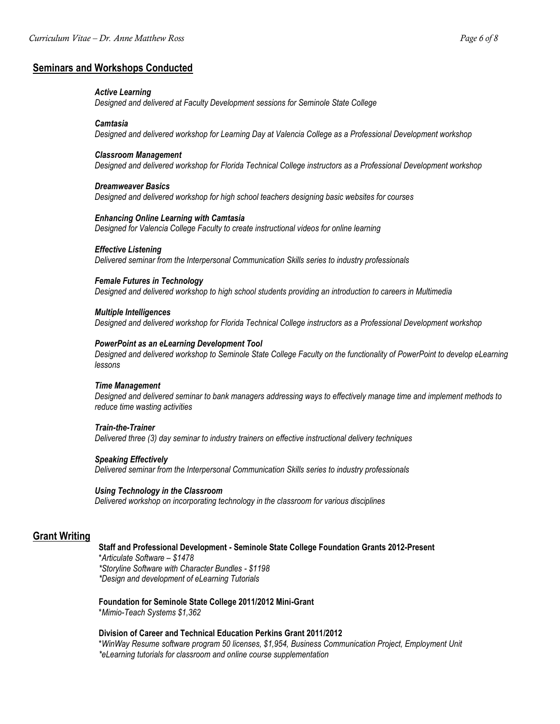#### **Seminars and Workshops Conducted**

#### *Active Learning*

*Designed and delivered at Faculty Development sessions for Seminole State College*

#### *Camtasia*

*Designed and delivered workshop for Learning Day at Valencia College as a Professional Development workshop*

#### *Classroom Management*

*Designed and delivered workshop for Florida Technical College instructors as a Professional Development workshop*

#### *Dreamweaver Basics*

*Designed and delivered workshop for high school teachers designing basic websites for courses*

#### *Enhancing Online Learning with Camtasia*

*Designed for Valencia College Faculty to create instructional videos for online learning*

#### *Effective Listening*

*Delivered seminar from the Interpersonal Communication Skills series to industry professionals*

#### *Female Futures in Technology*

*Designed and delivered workshop to high school students providing an introduction to careers in Multimedia*

#### *Multiple Intelligences*

*Designed and delivered workshop for Florida Technical College instructors as a Professional Development workshop*

#### *PowerPoint as an eLearning Development Tool*

*Designed and delivered workshop to Seminole State College Faculty on the functionality of PowerPoint to develop eLearning lessons*

#### *Time Management*

*Designed and delivered seminar to bank managers addressing ways to effectively manage time and implement methods to reduce time wasting activities*

#### *Train-the-Trainer*

*Delivered three (3) day seminar to industry trainers on effective instructional delivery techniques*

#### *Speaking Effectively*

*Delivered seminar from the Interpersonal Communication Skills series to industry professionals*

#### *Using Technology in the Classroom*

*Delivered workshop on incorporating technology in the classroom for various disciplines*

#### **Grant Writing**

#### **Staff and Professional Development - Seminole State College Foundation Grants 2012-Present**

\**Articulate Software – \$1478 \*Storyline Software with Character Bundles - \$1198 \*Design and development of eLearning Tutorials* 

# **Foundation for Seminole State College 2011/2012 Mini-Grant**

\**Mimio-Teach Systems \$1,362*

#### **Division of Career and Technical Education Perkins Grant 2011/2012**

\**WinWay Resume software program 50 licenses, \$1,954, Business Communication Project, Employment Unit \*eLearning tutorials for classroom and online course supplementation*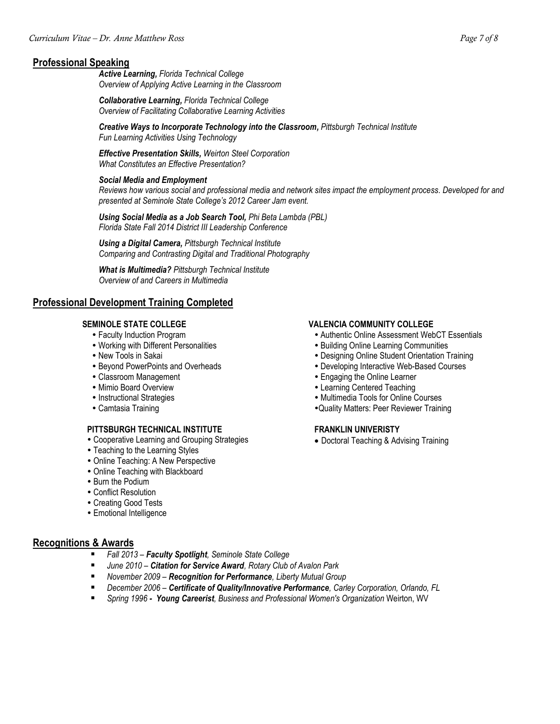### **Professional Speaking**

*Active Learning, Florida Technical College Overview of Applying Active Learning in the Classroom*

*Collaborative Learning, Florida Technical College Overview of Facilitating Collaborative Learning Activities*

*Creative Ways to Incorporate Technology into the Classroom, Pittsburgh Technical Institute Fun Learning Activities Using Technology*

*Effective Presentation Skills, Weirton Steel Corporation What Constitutes an Effective Presentation?* 

#### *Social Media and Employment*

*Reviews how various social and professional media and network sites impact the employment process. Developed for and presented at Seminole State College's 2012 Career Jam event.*

*Using Social Media as a Job Search Tool, Phi Beta Lambda (PBL) Florida State Fall 2014 District III Leadership Conference*

*Using a Digital Camera, Pittsburgh Technical Institute Comparing and Contrasting Digital and Traditional Photography*

*What is Multimedia? Pittsburgh Technical Institute Overview of and Careers in Multimedia*

#### **Professional Development Training Completed**

- Faculty Induction Program
- Working with Different Personalities
- New Tools in Sakai
- Beyond PowerPoints and Overheads
- Classroom Management
- Mimio Board Overview
- Instructional Strategies
- Camtasia Training

#### **PITTSBURGH TECHNICAL INSTITUTE**

- Cooperative Learning and Grouping Strategies
- Teaching to the Learning Styles
- Online Teaching: A New Perspective
- Online Teaching with Blackboard
- Burn the Podium
- Conflict Resolution
- Creating Good Tests
- Emotional Intelligence

### **Recognitions & Awards**

- *Fall 2013 – Faculty Spotlight, Seminole State College*
- *June 2010 – Citation for Service Award, Rotary Club of Avalon Park*
- *November 2009 Recognition for Performance, Liberty Mutual Group*
- *December 2006 – Certificate of Quality/Innovative Performance, Carley Corporation, Orlando, FL*
- *Spring 1996 Young Careerist, Business and Professional Women's Organization* Weirton, WV

#### **SEMINOLE STATE COLLEGE VALENCIA COMMUNITY COLLEGE**

- Authentic Online Assessment WebCT Essentials
- Building Online Learning Communities
- Designing Online Student Orientation Training
- Developing Interactive Web-Based Courses
- Engaging the Online Learner
- Learning Centered Teaching
- Multimedia Tools for Online Courses
- Quality Matters: Peer Reviewer Training

#### **FRANKLIN UNIVERISTY**

• Doctoral Teaching & Advising Training